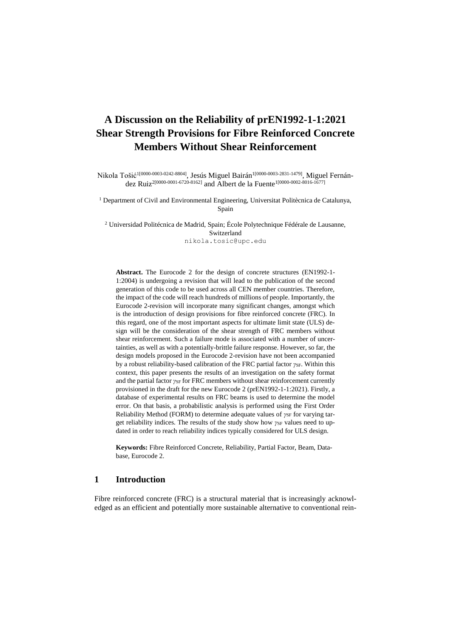# **A Discussion on the Reliability of prEN1992-1-1:2021 Shear Strength Provisions for Fibre Reinforced Concrete Members Without Shear Reinforcement**

Nikola Tošić<sup>1[0000-0003-0242-8804]</sup>, Jesús Miguel Bairán<sup>1[0000-0003-2831-1479]</sup>, Miguel Fernández Ruiz2[0000-0001-6720-8162] and Albert de la Fuente1[0000-0002-8016-1677]

<sup>1</sup> Department of Civil and Environmental Engineering, Universitat Politècnica de Catalunya, Spain

<sup>2</sup> Universidad Politécnica de Madrid, Spain; École Polytechnique Fédérale de Lausanne, Switzerland nikola.tosic@upc.edu

**Abstract.** The Eurocode 2 for the design of concrete structures (EN1992-1- 1:2004) is undergoing a revision that will lead to the publication of the second generation of this code to be used across all CEN member countries. Therefore, the impact of the code will reach hundreds of millions of people. Importantly, the Eurocode 2-revision will incorporate many significant changes, amongst which is the introduction of design provisions for fibre reinforced concrete (FRC). In this regard, one of the most important aspects for ultimate limit state (ULS) design will be the consideration of the shear strength of FRC members without shear reinforcement. Such a failure mode is associated with a number of uncertainties, as well as with a potentially-brittle failure response. However, so far, the design models proposed in the Eurocode 2-revision have not been accompanied by a robust reliability-based calibration of the FRC partial factor *γSF*. Within this context, this paper presents the results of an investigation on the safety format and the partial factor *γ*<sub>SF</sub> for FRC members without shear reinforcement currently provisioned in the draft for the new Eurocode 2 (prEN1992-1-1:2021). Firstly, a database of experimental results on FRC beams is used to determine the model error. On that basis, a probabilistic analysis is performed using the First Order Reliability Method (FORM) to determine adequate values of *γ*SF for varying target reliability indices. The results of the study show how  $\gamma_{SF}$  values need to updated in order to reach reliability indices typically considered for ULS design.

**Keywords:** Fibre Reinforced Concrete, Reliability, Partial Factor, Beam, Database, Eurocode 2.

### **1 Introduction**

Fibre reinforced concrete (FRC) is a structural material that is increasingly acknowledged as an efficient and potentially more sustainable alternative to conventional rein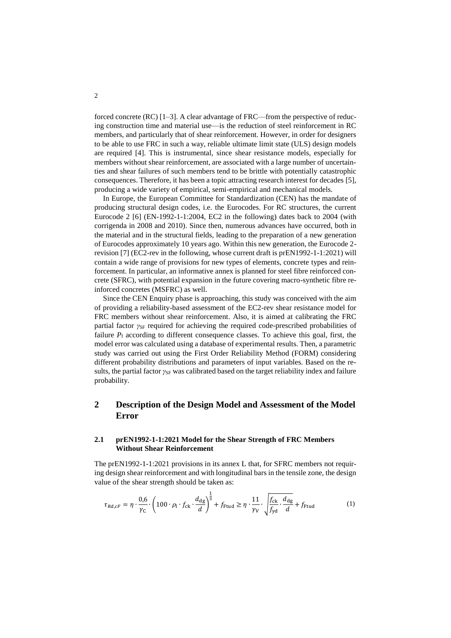forced concrete  $(RC)$  [1–3]. A clear advantage of  $FRC$ —from the perspective of reducing construction time and material use—is the reduction of steel reinforcement in RC members, and particularly that of shear reinforcement. However, in order for designers to be able to use FRC in such a way, reliable ultimate limit state (ULS) design models are required [4]. This is instrumental, since shear resistance models, especially for members without shear reinforcement, are associated with a large number of uncertainties and shear failures of such members tend to be brittle with potentially catastrophic consequences. Therefore, it has been a topic attracting research interest for decades [5], producing a wide variety of empirical, semi-empirical and mechanical models.

In Europe, the European Committee for Standardization (CEN) has the mandate of producing structural design codes, i.e. the Eurocodes. For RC structures, the current Eurocode 2  $[6]$  (EN-1992-1-1:2004, EC2 in the following) dates back to 2004 (with corrigenda in 2008 and 2010). Since then, numerous advances have occurred, both in the material and in the structural fields, leading to the preparation of a new generation of Eurocodes approximately 10 years ago. Within this new generation, the Eurocode 2 revision [7] (EC2-rev in the following, whose current draft is prEN1992-1-1:2021) will contain a wide range of provisions for new types of elements, concrete types and reinforcement. In particular, an informative annex is planned for steel fibre reinforced concrete (SFRC), with potential expansion in the future covering macro-synthetic fibre reinforced concretes (MSFRC) as well.

Since the CEN Enquiry phase is approaching, this study was conceived with the aim of providing a reliability-based assessment of the EC2-rev shear resistance model for FRC members without shear reinforcement. Also, it is aimed at calibrating the FRC partial factor *γ*<sub>SF</sub> required for achieving the required code-prescribed probabilities of failure  $P_f$  according to different consequence classes. To achieve this goal, first, the model error was calculated using a database of experimental results. Then, a parametric study was carried out using the First Order Reliability Method (FORM) considering different probability distributions and parameters of input variables. Based on the results, the partial factor *γ*<sub>SF</sub> was calibrated based on the target reliability index and failure probability.

# **2 Description of the Design Model and Assessment of the Model Error**

### **2.1 prEN1992-1-1:2021 Model for the Shear Strength of FRC Members Without Shear Reinforcement**

The prEN1992-1-1:2021 provisions in its annex L that, for SFRC members not requiring design shear reinforcement and with longitudinal bars in the tensile zone, the design value of the shear strength should be taken as:

$$
\tau_{Rd, cF} = \eta \cdot \frac{0.6}{\gamma_{\rm C}} \cdot \left( 100 \cdot \rho_{\rm l} \cdot f_{\rm ck} \cdot \frac{d_{\rm dg}}{d} \right)^{\frac{1}{3}} + f_{\rm Ftud} \ge \eta \cdot \frac{11}{\gamma_{\rm V}} \cdot \sqrt{\frac{f_{\rm ck}}{f_{\rm yd}} \cdot \frac{d_{\rm dg}}{d}} + f_{\rm Ftud} \tag{1}
$$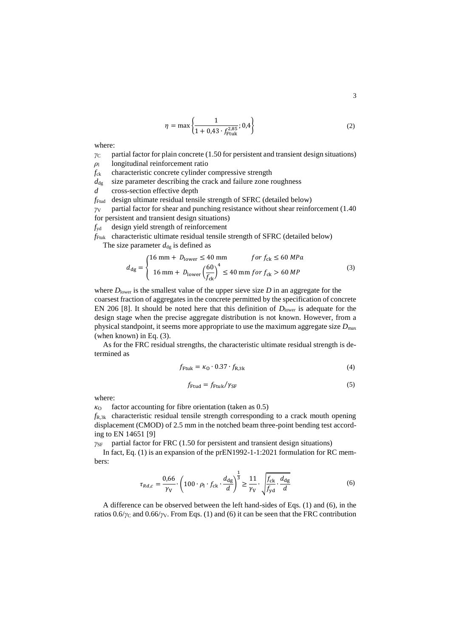$$
\eta = \max\left\{ \frac{1}{1 + 0.43 \cdot f_{\text{Ftuk}}^{2.85}}; 0.4 \right\} \tag{2}
$$

where:

- $\gamma_c$  partial factor for plain concrete (1.50 for persistent and transient design situations)
- *ρ*<sup>l</sup> longitudinal reinforcement ratio
- *f*ck characteristic concrete cylinder compressive strength

 $d_{\text{de}}$  size parameter describing the crack and failure zone roughness

*d* cross-section effective depth

*f*Ftud design ultimate residual tensile strength of SFRC (detailed below)

*γ*<sup>V</sup> partial factor for shear and punching resistance without shear reinforcement (1.40 for persistent and transient design situations)

*f*yd design yield strength of reinforcement

*f*Ftuk characteristic ultimate residual tensile strength of SFRC (detailed below)

The size parameter  $d_{dg}$  is defined as

$$
d_{\rm dg} = \begin{cases} 16 \text{ mm} + D_{\rm lower} \le 40 \text{ mm} & \text{for } f_{\rm ck} \le 60 \text{ MPa} \\ 16 \text{ mm} + D_{\rm lower} \left(\frac{60}{f_{\rm ck}}\right)^4 \le 40 \text{ mm for } f_{\rm ck} > 60 \text{ MP} \end{cases}
$$
(3)

where  $D_{\text{lower}}$  is the smallest value of the upper sieve size  $D$  in an aggregate for the coarsest fraction of aggregates in the concrete permitted by the specification of concrete EN 206 [8]. It should be noted here that this definition of  $D<sub>lower</sub>$  is adequate for the design stage when the precise aggregate distribution is not known. However, from a physical standpoint, it seems more appropriate to use the maximum aggregate size *D*max (when known) in Eq. (3).

As for the FRC residual strengths, the characteristic ultimate residual strength is determined as

$$
f_{\text{Ftuk}} = \kappa_0 \cdot 0.37 \cdot f_{\text{R,3k}} \tag{4}
$$

$$
f_{\text{Ftud}} = f_{\text{Ftuk}} / \gamma_{\text{SF}} \tag{5}
$$

where:

 $\kappa_0$  factor accounting for fibre orientation (taken as 0.5)

*f*R,3k characteristic residual tensile strength corresponding to a crack mouth opening displacement (CMOD) of 2.5 mm in the notched beam three-point bending test according to EN 14651 [9]

 $γ_{SF}$  partial factor for FRC (1.50 for persistent and transient design situations)

In fact, Eq. (1) is an expansion of the prEN1992-1-1:2021 formulation for RC members:

$$
\tau_{Rd,c} = \frac{0.66}{\gamma_V} \cdot \left(100 \cdot \rho_1 \cdot f_{\rm ck} \cdot \frac{d_{\rm dg}}{d}\right)^{\frac{1}{3}} \ge \frac{11}{\gamma_V} \cdot \sqrt{\frac{f_{\rm ck}}{f_{\rm yd}} \cdot \frac{d_{\rm dg}}{d}}
$$
(6)

A difference can be observed between the left hand-sides of Eqs. (1) and (6), in the ratios 0.6/*γ*<sup>C</sup> and 0.66/*γ*V. From Eqs. (1) and (6) it can be seen that the FRC contribution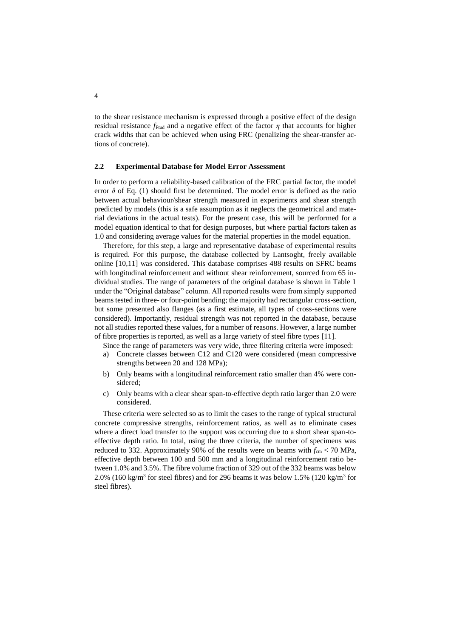to the shear resistance mechanism is expressed through a positive effect of the design residual resistance  $f_{\text{Ftud}}$  and a negative effect of the factor  $\eta$  that accounts for higher crack widths that can be achieved when using FRC (penalizing the shear-transfer actions of concrete).

### **2.2 Experimental Database for Model Error Assessment**

In order to perform a reliability-based calibration of the FRC partial factor, the model error  $\delta$  of Eq. (1) should first be determined. The model error is defined as the ratio between actual behaviour/shear strength measured in experiments and shear strength predicted by models (this is a safe assumption as it neglects the geometrical and material deviations in the actual tests). For the present case, this will be performed for a model equation identical to that for design purposes, but where partial factors taken as 1.0 and considering average values for the material properties in the model equation.

Therefore, for this step, a large and representative database of experimental results is required. For this purpose, the database collected by Lantsoght, freely available online [10,11] was considered. This database comprises 488 results on SFRC beams with longitudinal reinforcement and without shear reinforcement, sourced from 65 individual studies. The range of parameters of the original database is shown in Table 1 under the "Original database" column. All reported results were from simply supported beams tested in three- or four-point bending; the majority had rectangular cross-section, but some presented also flanges (as a first estimate, all types of cross-sections were considered). Importantly, residual strength was not reported in the database, because not all studies reported these values, for a number of reasons. However, a large number of fibre properties is reported, as well as a large variety of steel fibre types [11].

Since the range of parameters was very wide, three filtering criteria were imposed:

- a) Concrete classes between C12 and C120 were considered (mean compressive strengths between 20 and 128 MPa);
- b) Only beams with a longitudinal reinforcement ratio smaller than 4% were considered;
- c) Only beams with a clear shear span-to-effective depth ratio larger than 2.0 were considered.

These criteria were selected so as to limit the cases to the range of typical structural concrete compressive strengths, reinforcement ratios, as well as to eliminate cases where a direct load transfer to the support was occurring due to a short shear span-toeffective depth ratio. In total, using the three criteria, the number of specimens was reduced to 332. Approximately 90% of the results were on beams with  $f_{\rm cm}$  < 70 MPa, effective depth between 100 and 500 mm and a longitudinal reinforcement ratio between 1.0% and 3.5%. The fibre volume fraction of 329 out of the 332 beams was below 2.0% (160 kg/m<sup>3</sup> for steel fibres) and for 296 beams it was below 1.5% (120 kg/m<sup>3</sup> for steel fibres).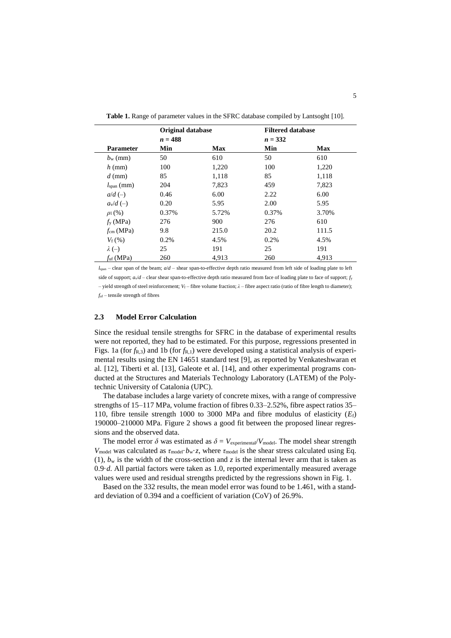|                        | <b>Original database</b> |            | <b>Filtered database</b> |            |
|------------------------|--------------------------|------------|--------------------------|------------|
|                        | $n = 488$                |            | $n = 332$                |            |
| <b>Parameter</b>       | Min                      | <b>Max</b> | Min                      | <b>Max</b> |
| $b_{\rm w}$ (mm)       | 50                       | 610        | 50                       | 610        |
| $h$ (mm)               | 100                      | 1,220      | 100                      | 1,220      |
| $d$ (mm)               | 85                       | 1,118      | 85                       | 1,118      |
| $lspan$ (mm)           | 204                      | 7,823      | 459                      | 7,823      |
| $a/d \left( - \right)$ | 0.46                     | 6.00       | 2.22                     | 6.00       |
| $a_v/d (-)$            | 0.20                     | 5.95       | 2.00                     | 5.95       |
| $\rho_1(\%)$           | 0.37%                    | 5.72%      | 0.37%                    | 3.70%      |
| $f_{\rm v}$ (MPa)      | 276                      | 900        | 276                      | 610        |
| $f_{\rm cm}$ (MPa)     | 9.8                      | 215.0      | 20.2                     | 111.5      |
| $V_{\rm f}$ (%)        | 0.2%                     | 4.5%       | 0.2%                     | 4.5%       |
| $\lambda$ (-)          | 25                       | 191        | 25                       | 191        |
| $f_{\text{uf}}$ (MPa)  | 260                      | 4.913      | 260                      | 4.913      |

**Table 1.** Range of parameter values in the SFRC database compiled by Lantsoght [10].

 $l_{\text{span}}$  – clear span of the beam;  $a/d$  – shear span-to-effective depth ratio measured from left side of loading plate to left side of support;  $a\sqrt{d}$  – clear shear span-to-effective depth ratio measured from face of loading plate to face of support;  $f_y$ – yield strength of steel reinforcement; *V*<sub>f</sub> – fibre volume fraction; *λ* – fibre aspect ratio (ratio of fibre length to diameter); *f*uf – tensile strength of fibres

#### **2.3 Model Error Calculation**

Since the residual tensile strengths for SFRC in the database of experimental results were not reported, they had to be estimated. For this purpose, regressions presented in Figs. 1a (for  $f_{R,3}$ ) and 1b (for  $f_{R,1}$ ) were developed using a statistical analysis of experimental results using the EN 14651 standard test [9], as reported by Venkateshwaran et al. [12], Tiberti et al. [13], Galeote et al. [14], and other experimental programs conducted at the Structures and Materials Technology Laboratory (LATEM) of the Polytechnic University of Catalonia (UPC).

The database includes a large variety of concrete mixes, with a range of compressive strengths of 15–117 MPa, volume fraction of fibres 0.33–2.52%, fibre aspect ratios 35– 110, fibre tensile strength 1000 to 3000 MPa and fibre modulus of elasticity (*E*f) 190000–210000 MPa. Figure 2 shows a good fit between the proposed linear regressions and the observed data.

The model error  $\delta$  was estimated as  $\delta = V_{\text{experimental}}/V_{\text{model}}$ . The model shear strength *V*<sub>model</sub> was calculated as  $\tau_{model} \cdot b_w \cdot z$ , where  $\tau_{model}$  is the shear stress calculated using Eq. (1),  $b_w$  is the width of the cross-section and *z* is the internal lever arm that is taken as 0.9·*d*. All partial factors were taken as 1.0, reported experimentally measured average values were used and residual strengths predicted by the regressions shown in Fig. 1.

Based on the 332 results, the mean model error was found to be 1.461, with a standard deviation of 0.394 and a coefficient of variation (CoV) of 26.9%.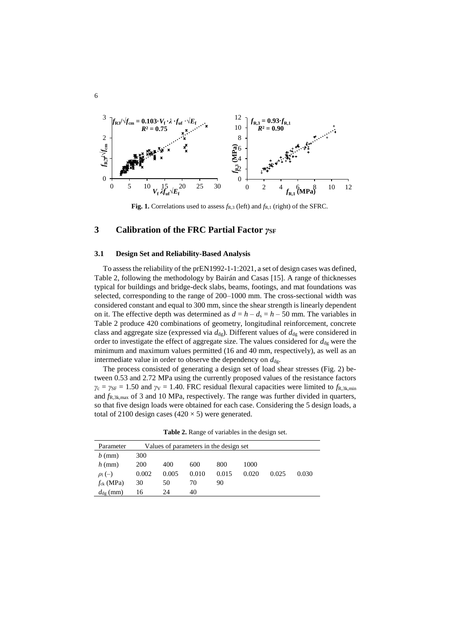

**Fig. 1.** Correlations used to assess *f*R,3 (left) and *f*R,1 (right) of the SFRC.

# **3 Calibration of the FRC Partial Factor** *γ***SF**

### **3.1 Design Set and Reliability-Based Analysis**

To assess the reliability of the prEN1992-1-1:2021, a set of design cases was defined, Table 2, following the methodology by Bairán and Casas [15]. A range of thicknesses typical for buildings and bridge-deck slabs, beams, footings, and mat foundations was selected, corresponding to the range of 200–1000 mm. The cross-sectional width was considered constant and equal to 300 mm, since the shear strength is linearly dependent on it. The effective depth was determined as  $d = h - d_s = h - 50$  mm. The variables in Table 2 produce 420 combinations of geometry, longitudinal reinforcement, concrete class and aggregate size (expressed via  $d_{\text{dg}}$ ). Different values of  $d_{\text{dg}}$  were considered in order to investigate the effect of aggregate size. The values considered for  $d_{dg}$  were the minimum and maximum values permitted (16 and 40 mm, respectively), as well as an intermediate value in order to observe the dependency on  $d_{\text{dg}}$ .

The process consisted of generating a design set of load shear stresses (Fig. 2) between 0.53 and 2.72 MPa using the currently proposed values of the resistance factors  $\gamma_c = \gamma_{SF} = 1.50$  and  $\gamma_V = 1.40$ . FRC residual flexural capacities were limited to  $f_{R,3k,min}$ and *f*R,3k,max of 3 and 10 MPa, respectively. The range was further divided in quarters, so that five design loads were obtained for each case. Considering the 5 design loads, a total of 2100 design cases ( $420 \times 5$ ) were generated.

| Parameter            | Values of parameters in the design set |       |       |       |       |       |       |
|----------------------|----------------------------------------|-------|-------|-------|-------|-------|-------|
| $b$ (mm)             | 300                                    |       |       |       |       |       |       |
| $h$ (mm)             | <b>200</b>                             | 400   | 600   | 800   | 1000  |       |       |
| $\rho_1(-)$          | 0.002                                  | 0.005 | 0.010 | 0.015 | 0.020 | 0.025 | 0.030 |
| $f_{ck}$ (MPa)       | 30                                     | 50    | 70    | 90    |       |       |       |
| $d_{\text{dg}}$ (mm) | 16                                     | 24    | 40    |       |       |       |       |

**Table 2.** Range of variables in the design set.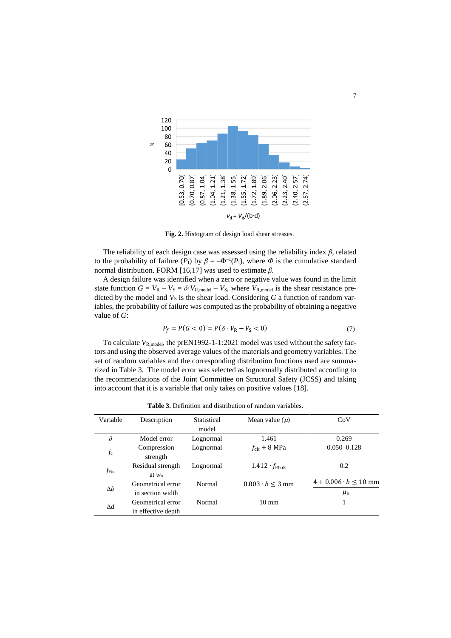

**Fig. 2.** Histogram of design load shear stresses.

The reliability of each design case was assessed using the reliability index *β*, related to the probability of failure  $(P_f)$  by  $\beta = -\Phi^{-1}(P_f)$ , where  $\Phi$  is the cumulative standard normal distribution. FORM [16,17] was used to estimate *β*.

A design failure was identified when a zero or negative value was found in the limit state function  $G = V_R - V_S = \delta V_{R, model} - V_S$ , where  $V_{R, model}$  is the shear resistance predicted by the model and  $V<sub>S</sub>$  is the shear load. Considering  $G$  a function of random variables, the probability of failure was computed as the probability of obtaining a negative value of *G*:

$$
P_f = P(G < 0) = P(\delta \cdot V_R - V_S < 0) \tag{7}
$$

To calculate  $V_{\text{R,model}}$ , the prEN1992-1-1:2021 model was used without the safety factors and using the observed average values of the materials and geometry variables. The set of random variables and the corresponding distribution functions used are summarized in Table 3. The model error was selected as lognormally distributed according to the recommendations of the Joint Committee on Structural Safety (JCSS) and taking into account that it is a variable that only takes on positive values [18].

**Table 3.** Definition and distribution of random variables.

| Variable         | Description        | Statistical | Mean value $(\mu)$                | CoV                           |
|------------------|--------------------|-------------|-----------------------------------|-------------------------------|
|                  |                    | model       |                                   |                               |
| $\delta$         | Model error        | Lognormal   | 1.461                             | 0.269                         |
| fc               | Compression        | Lognormal   | $f_{ck}$ + 8 MPa                  | $0.050 - 0.128$               |
|                  | strength           |             |                                   |                               |
| f <sub>Ftu</sub> | Residual strength  | Lognormal   | $1.412 \cdot f_{\text{Ftuk}}$     | 0.2                           |
|                  | at $wu$            |             |                                   |                               |
| $\Delta b$       | Geometrical error  | Normal      | $0.003 \cdot b \leq 3 \text{ mm}$ | $4 + 0.006 \cdot b \le 10$ mm |
|                  | in section width   |             |                                   | $\mu_{\rm b}$                 |
| $\Delta d$       | Geometrical error  | Normal      | $10 \text{ mm}$                   | 1                             |
|                  | in effective depth |             |                                   |                               |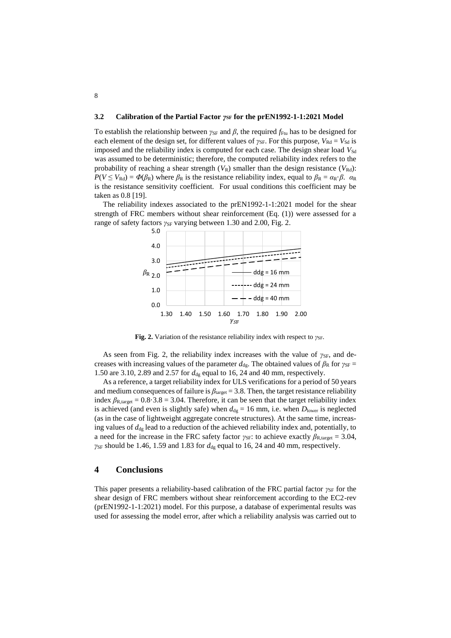### **3.2 Calibration of the Partial Factor**  $γ_{SF}$  **for the prEN1992-1-1:2021 Model**

To establish the relationship between  $\gamma_{SF}$  and  $\beta$ , the required  $f_{Ftu}$  has to be designed for each element of the design set, for different values of  $\gamma_{SF}$ . For this purpose,  $V_{\text{Rd}} = V_{\text{Sd}}$  is imposed and the reliability index is computed for each case. The design shear load  $V_{\rm Sd}$ was assumed to be deterministic; therefore, the computed reliability index refers to the probability of reaching a shear strength  $(V_R)$  smaller than the design resistance  $(V_{Rd})$ :  $P(V \leq V_{\text{Rd}}) = \Phi(\beta_{\text{R}})$  where  $\beta_{\text{R}}$  is the resistance reliability index, equal to  $\beta_{\text{R}} = \alpha_{\text{R}} \cdot \beta$ .  $\alpha_{\text{R}}$ is the resistance sensitivity coefficient. For usual conditions this coefficient may be taken as 0.8 [19].

The reliability indexes associated to the prEN1992-1-1:2021 model for the shear strength of FRC members without shear reinforcement (Eq. (1)) were assessed for a range of safety factors *γ*<sub>SF</sub> varying between 1.30 and 2.00, Fig. 2.



**Fig. 2.** Variation of the resistance reliability index with respect to *γSF*.

As seen from Fig. 2, the reliability index increases with the value of  $\gamma_{SF}$ , and decreases with increasing values of the parameter  $d_{\text{dg}}$ . The obtained values of  $\beta_R$  for  $\gamma_{\text{SF}} =$ 1.50 are 3.10, 2.89 and 2.57 for  $d_{dg}$  equal to 16, 24 and 40 mm, respectively.

As a reference, a target reliability index for ULS verifications for a period of 50 years and medium consequences of failure is  $\beta_{\text{target}} = 3.8$ . Then, the target resistance reliability index  $\beta_{\text{R,target}} = 0.8 \cdot 3.8 = 3.04$ . Therefore, it can be seen that the target reliability index is achieved (and even is slightly safe) when  $d_{dg} = 16$  mm, i.e. when  $D_{lower}$  is neglected (as in the case of lightweight aggregate concrete structures). At the same time, increasing values of  $d_{dg}$  lead to a reduction of the achieved reliability index and, potentially, to a need for the increase in the FRC safety factor *γ*<sub>SF</sub>: to achieve exactly  $\beta_{\text{R,target}} = 3.04$ ,  $\gamma_{SF}$  should be 1.46, 1.59 and 1.83 for  $d_{dg}$  equal to 16, 24 and 40 mm, respectively.

### **4 Conclusions**

This paper presents a reliability-based calibration of the FRC partial factor *γ*<sub>SF</sub> for the shear design of FRC members without shear reinforcement according to the EC2-rev (prEN1992-1-1:2021) model. For this purpose, a database of experimental results was used for assessing the model error, after which a reliability analysis was carried out to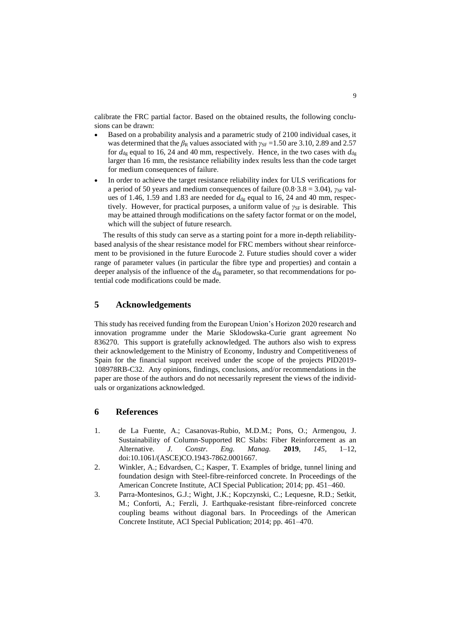calibrate the FRC partial factor. Based on the obtained results, the following conclusions can be drawn:

- Based on a probability analysis and a parametric study of 2100 individual cases, it was determined that the  $\beta_R$  values associated with  $\gamma_{SF} = 1.50$  are 3.10, 2.89 and 2.57 for  $d_{\text{dg}}$  equal to 16, 24 and 40 mm, respectively. Hence, in the two cases with  $d_{\text{dg}}$ larger than 16 mm, the resistance reliability index results less than the code target for medium consequences of failure.
- In order to achieve the target resistance reliability index for ULS verifications for a period of 50 years and medium consequences of failure  $(0.8 \cdot 3.8 = 3.04)$ ,  $\gamma_{SF}$  values of 1.46, 1.59 and 1.83 are needed for  $d_{dq}$  equal to 16, 24 and 40 mm, respectively. However, for practical purposes, a uniform value of *γ*<sub>SF</sub> is desirable. This may be attained through modifications on the safety factor format or on the model, which will the subject of future research.

The results of this study can serve as a starting point for a more in-depth reliabilitybased analysis of the shear resistance model for FRC members without shear reinforcement to be provisioned in the future Eurocode 2. Future studies should cover a wider range of parameter values (in particular the fibre type and properties) and contain a deeper analysis of the influence of the  $d_{\text{dg}}$  parameter, so that recommendations for potential code modifications could be made.

# **5 Acknowledgements**

This study has received funding from the European Union's Horizon 2020 research and innovation programme under the Marie Sklodowska-Curie grant agreement No 836270. This support is gratefully acknowledged. The authors also wish to express their acknowledgement to the Ministry of Economy, Industry and Competitiveness of Spain for the financial support received under the scope of the projects PID2019- 108978RB-C32. Any opinions, findings, conclusions, and/or recommendations in the paper are those of the authors and do not necessarily represent the views of the individuals or organizations acknowledged.

## **6 References**

- 1. de La Fuente, A.; Casanovas-Rubio, M.D.M.; Pons, O.; Armengou, J. Sustainability of Column-Supported RC Slabs: Fiber Reinforcement as an Alternative. *J. Constr. Eng. Manag.* **2019**, *145*, 1–12, doi:10.1061/(ASCE)CO.1943-7862.0001667.
- 2. Winkler, A.; Edvardsen, C.; Kasper, T. Examples of bridge, tunnel lining and foundation design with Steel-fibre-reinforced concrete. In Proceedings of the American Concrete Institute, ACI Special Publication; 2014; pp. 451–460.
- 3. Parra-Montesinos, G.J.; Wight, J.K.; Kopczynski, C.; Lequesne, R.D.; Setkit, M.; Conforti, A.; Ferzli, J. Earthquake-resistant fibre-reinforced concrete coupling beams without diagonal bars. In Proceedings of the American Concrete Institute, ACI Special Publication; 2014; pp. 461–470.